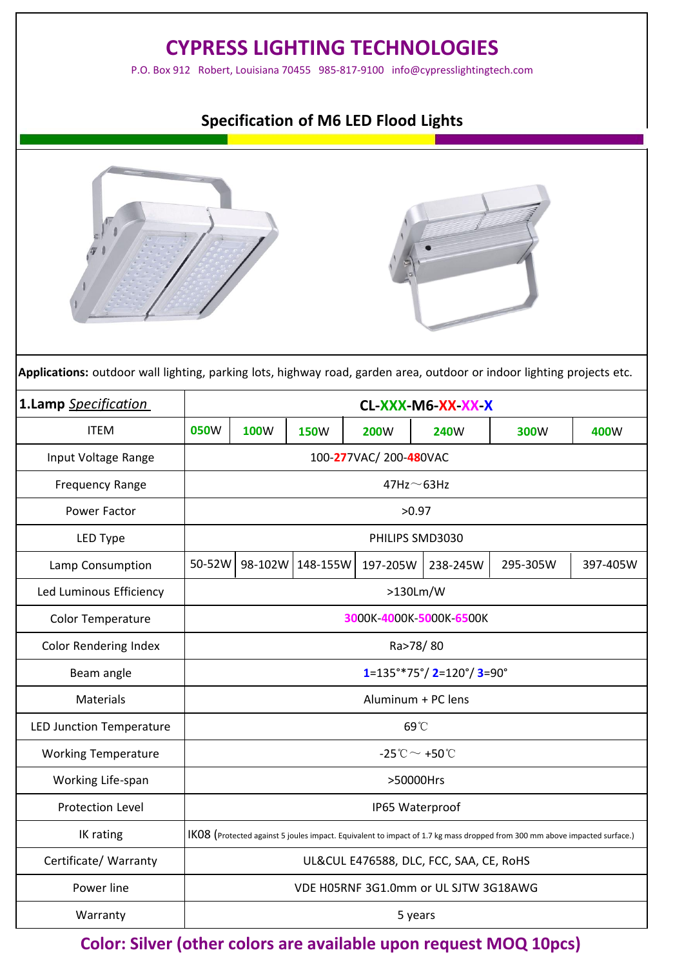| <b>CYPRESS LIGHTING TECHNOLOGIES</b><br>P.O. Box 912 Robert, Louisiana 70455 985-817-9100 info@cypresslightingtech.com |                                                |                                                                                                                           |                  |                                       |             |          |          |  |
|------------------------------------------------------------------------------------------------------------------------|------------------------------------------------|---------------------------------------------------------------------------------------------------------------------------|------------------|---------------------------------------|-------------|----------|----------|--|
| <b>Specification of M6 LED Flood Lights</b>                                                                            |                                                |                                                                                                                           |                  |                                       |             |          |          |  |
|                                                                                                                        |                                                |                                                                                                                           |                  |                                       |             |          |          |  |
| <b>ITEM</b>                                                                                                            | <b>050W</b>                                    | <b>100W</b>                                                                                                               | <b>150W</b>      | <b>200W</b>                           | <b>240W</b> | 300W     | 400W     |  |
| Input Voltage Range                                                                                                    |                                                |                                                                                                                           |                  | 100-277VAC/200-480VAC                 |             |          |          |  |
| <b>Frequency Range</b>                                                                                                 | $47$ Hz $\sim$ 63Hz                            |                                                                                                                           |                  |                                       |             |          |          |  |
| Power Factor                                                                                                           | >0.97                                          |                                                                                                                           |                  |                                       |             |          |          |  |
| LED Type                                                                                                               | PHILIPS SMD3030                                |                                                                                                                           |                  |                                       |             |          |          |  |
| Lamp Consumption                                                                                                       | 50-52W                                         |                                                                                                                           | 98-102W 148-155W | 197-205W                              | 238-245W    | 295-305W | 397-405W |  |
| Led Luminous Efficiency                                                                                                |                                                |                                                                                                                           |                  | $>130$ Lm/W                           |             |          |          |  |
| Color Temperature                                                                                                      | 3000K-4000K-5000K-6500K                        |                                                                                                                           |                  |                                       |             |          |          |  |
| Color Rendering Index                                                                                                  | Ra>78/80                                       |                                                                                                                           |                  |                                       |             |          |          |  |
| Beam angle                                                                                                             | $1=135°*75°/2=120°/3=90°$                      |                                                                                                                           |                  |                                       |             |          |          |  |
| Materials                                                                                                              | Aluminum + PC lens                             |                                                                                                                           |                  |                                       |             |          |          |  |
| LED Junction Temperature                                                                                               | 69°C                                           |                                                                                                                           |                  |                                       |             |          |          |  |
| <b>Working Temperature</b>                                                                                             | $-25^{\circ}\text{C} \sim +50^{\circ}\text{C}$ |                                                                                                                           |                  |                                       |             |          |          |  |
| Working Life-span                                                                                                      | >50000Hrs                                      |                                                                                                                           |                  |                                       |             |          |          |  |
| Protection Level                                                                                                       |                                                |                                                                                                                           |                  | IP65 Waterproof                       |             |          |          |  |
| IK rating                                                                                                              |                                                | IKO8 (Protected against 5 joules impact. Equivalent to impact of 1.7 kg mass dropped from 300 mm above impacted surface.) |                  |                                       |             |          |          |  |
| Certificate/ Warranty                                                                                                  | UL&CUL E476588, DLC, FCC, SAA, CE, RoHS        |                                                                                                                           |                  |                                       |             |          |          |  |
| Power line                                                                                                             |                                                |                                                                                                                           |                  | VDE H05RNF 3G1.0mm or UL SJTW 3G18AWG |             |          |          |  |
| Warranty                                                                                                               | 5 years                                        |                                                                                                                           |                  |                                       |             |          |          |  |

**Color: Silver (other colors are available upon request MOQ 10pcs)**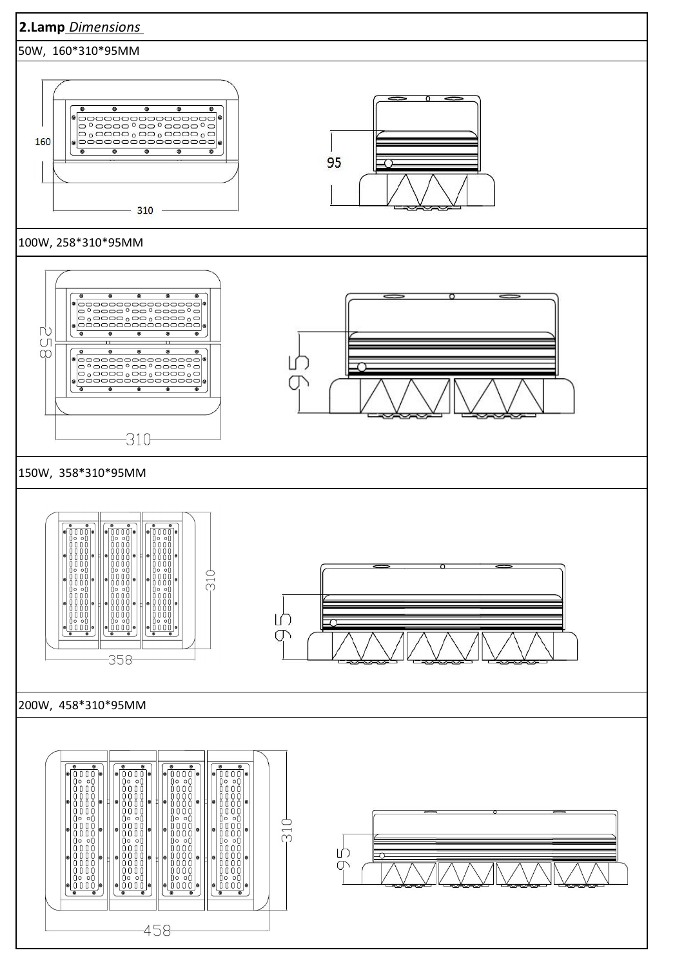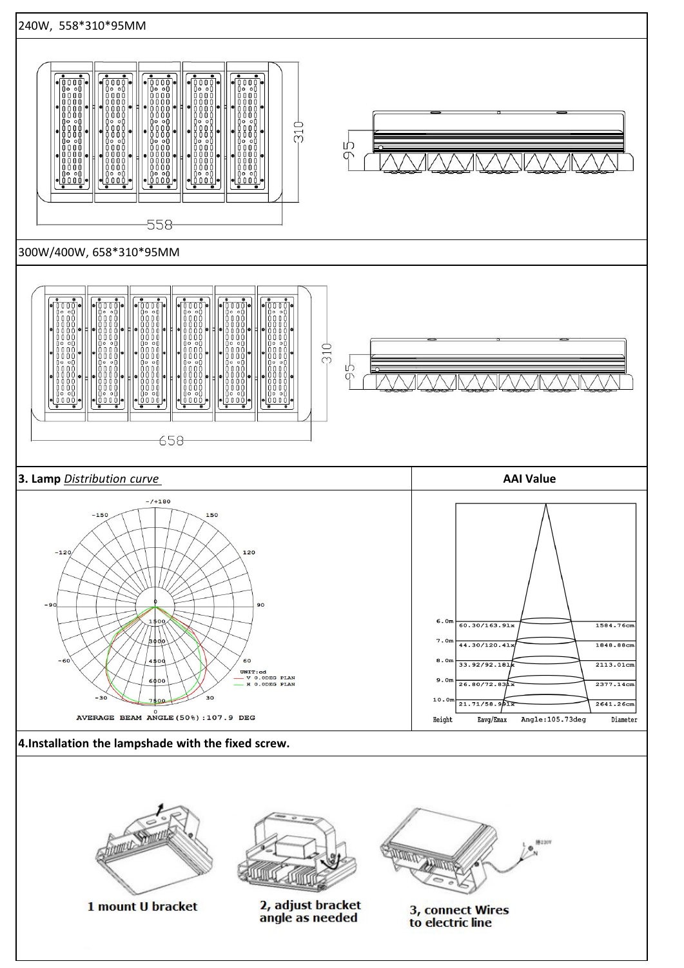